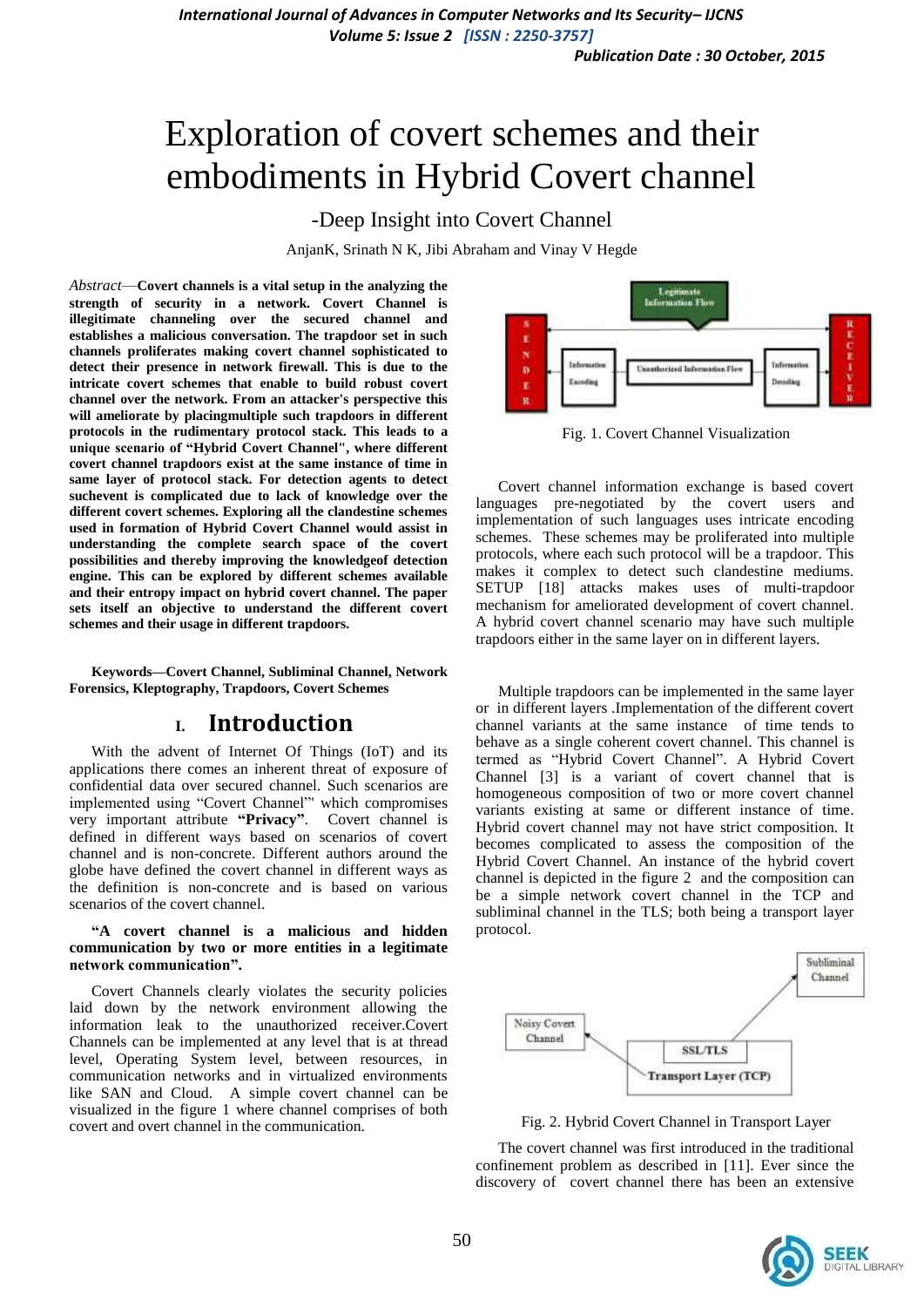# Exploration of covert schemes and their embodiments in Hybrid Covert channel

-Deep Insight into Covert Channel

AnjanK, Srinath N K, Jibi Abraham and Vinay V Hegde

*Abstract*—**Covert channels is a vital setup in the analyzing the strength of security in a network. Covert Channel is illegitimate channeling over the secured channel and establishes a malicious conversation. The trapdoor set in such channels proliferates making covert channel sophisticated to detect their presence in network firewall. This is due to the intricate covert schemes that enable to build robust covert channel over the network. From an attacker's perspective this will ameliorate by placingmultiple such trapdoors in different protocols in the rudimentary protocol stack. This leads to a unique scenario of "Hybrid Covert Channel", where different covert channel trapdoors exist at the same instance of time in same layer of protocol stack. For detection agents to detect suchevent is complicated due to lack of knowledge over the different covert schemes. Exploring all the clandestine schemes used in formation of Hybrid Covert Channel would assist in understanding the complete search space of the covert possibilities and thereby improving the knowledgeof detection engine. This can be explored by different schemes available and their entropy impact on hybrid covert channel. The paper sets itself an objective to understand the different covert schemes and their usage in different trapdoors.**

**Keywords—Covert Channel, Subliminal Channel, Network Forensics, Kleptography, Trapdoors, Covert Schemes**

# **I. Introduction**

With the advent of Internet Of Things (IoT) and its applications there comes an inherent threat of exposure of confidential data over secured channel. Such scenarios are implemented using "Covert Channel"' which compromises very important attribute **"Privacy"**. Covert channel is defined in different ways based on scenarios of covert channel and is non-concrete. Different authors around the globe have defined the covert channel in different ways as the definition is non-concrete and is based on various scenarios of the covert channel.

### **"A covert channel is a malicious and hidden communication by two or more entities in a legitimate network communication".**

Covert Channels clearly violates the security policies laid down by the network environment allowing the information leak to the unauthorized receiver.Covert Channels can be implemented at any level that is at thread level, Operating System level, between resources, in communication networks and in virtualized environments like SAN and Cloud. A simple covert channel can be visualized in the figure 1 where channel comprises of both covert and overt channel in the communication.



Fig. 1. Covert Channel Visualization

Covert channel information exchange is based covert languages pre-negotiated by the covert users and implementation of such languages uses intricate encoding schemes. These schemes may be proliferated into multiple protocols, where each such protocol will be a trapdoor. This makes it complex to detect such clandestine mediums. SETUP [18] attacks makes uses of multi-trapdoor mechanism for ameliorated development of covert channel. A hybrid covert channel scenario may have such multiple trapdoors either in the same layer on in different layers.

Multiple trapdoors can be implemented in the same layer or in different layers .Implementation of the different covert channel variants at the same instance of time tends to behave as a single coherent covert channel. This channel is termed as "Hybrid Covert Channel". A Hybrid Covert Channel [3] is a variant of covert channel that is homogeneous composition of two or more covert channel variants existing at same or different instance of time. Hybrid covert channel may not have strict composition. It becomes complicated to assess the composition of the Hybrid Covert Channel. An instance of the hybrid covert channel is depicted in the figure 2 and the composition can be a simple network covert channel in the TCP and subliminal channel in the TLS; both being a transport layer protocol.



Fig. 2. Hybrid Covert Channel in Transport Layer

The covert channel was first introduced in the traditional confinement problem as described in [11]. Ever since the discovery of covert channel there has been an extensive

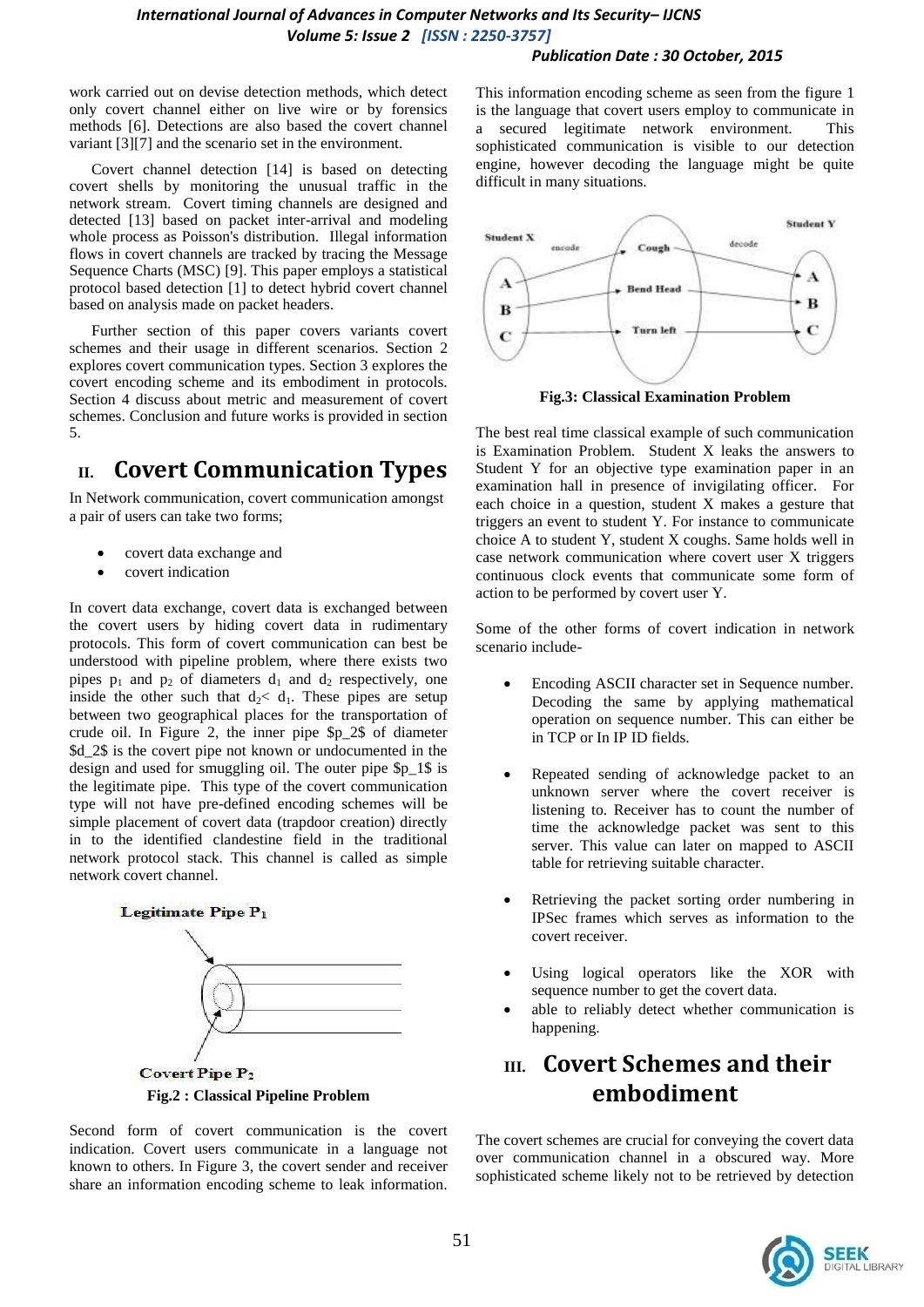## *International Journal of Advances in Computer Networks and Its Security– IJCNS Volume 5: Issue 2 [ISSN : 2250-3757]*

### *Publication Date : 30 October, 2015*

work carried out on devise detection methods, which detect only covert channel either on live wire or by forensics methods [6]. Detections are also based the covert channel variant [3][7] and the scenario set in the environment.

Covert channel detection [14] is based on detecting covert shells by monitoring the unusual traffic in the network stream. Covert timing channels are designed and detected [13] based on packet inter-arrival and modeling whole process as Poisson's distribution. Illegal information flows in covert channels are tracked by tracing the Message Sequence Charts (MSC) [9]. This paper employs a statistical protocol based detection [1] to detect hybrid covert channel based on analysis made on packet headers.

Further section of this paper covers variants covert schemes and their usage in different scenarios. Section 2 explores covert communication types. Section 3 explores the covert encoding scheme and its embodiment in protocols. Section 4 discuss about metric and measurement of covert schemes. Conclusion and future works is provided in section 5.

# **II. Covert Communication Types**

In Network communication, covert communication amongst a pair of users can take two forms;

- covert data exchange and
- covert indication

In covert data exchange, covert data is exchanged between the covert users by hiding covert data in rudimentary protocols. This form of covert communication can best be understood with pipeline problem, where there exists two pipes  $p_1$  and  $p_2$  of diameters  $d_1$  and  $d_2$  respectively, one inside the other such that  $d_2 < d_1$ . These pipes are setup between two geographical places for the transportation of crude oil. In Figure 2, the inner pipe \$p\_2\$ of diameter \$d\_2\$ is the covert pipe not known or undocumented in the design and used for smuggling oil. The outer pipe \$p\_1\$ is the legitimate pipe. This type of the covert communication type will not have pre-defined encoding schemes will be simple placement of covert data (trapdoor creation) directly in to the identified clandestine field in the traditional network protocol stack. This channel is called as simple network covert channel.



Second form of covert communication is the covert indication. Covert users communicate in a language not known to others. In Figure 3, the covert sender and receiver share an information encoding scheme to leak information.

This information encoding scheme as seen from the figure 1 is the language that covert users employ to communicate in a secured legitimate network environment. This sophisticated communication is visible to our detection engine, however decoding the language might be quite difficult in many situations.



**Fig.3: Classical Examination Problem**

The best real time classical example of such communication is Examination Problem. Student X leaks the answers to Student Y for an objective type examination paper in an examination hall in presence of invigilating officer. For each choice in a question, student X makes a gesture that triggers an event to student Y. For instance to communicate choice A to student Y, student X coughs. Same holds well in case network communication where covert user X triggers continuous clock events that communicate some form of action to be performed by covert user Y.

Some of the other forms of covert indication in network scenario include-

- Encoding ASCII character set in Sequence number. Decoding the same by applying mathematical operation on sequence number. This can either be in TCP or In IP ID fields.
- Repeated sending of acknowledge packet to an unknown server where the covert receiver is listening to. Receiver has to count the number of time the acknowledge packet was sent to this server. This value can later on mapped to ASCII table for retrieving suitable character.
- Retrieving the packet sorting order numbering in IPSec frames which serves as information to the covert receiver.
- Using logical operators like the XOR with sequence number to get the covert data.
- able to reliably detect whether communication is happening.

# **III. Covert Schemes and their embodiment**

The covert schemes are crucial for conveying the covert data over communication channel in a obscured way. More sophisticated scheme likely not to be retrieved by detection

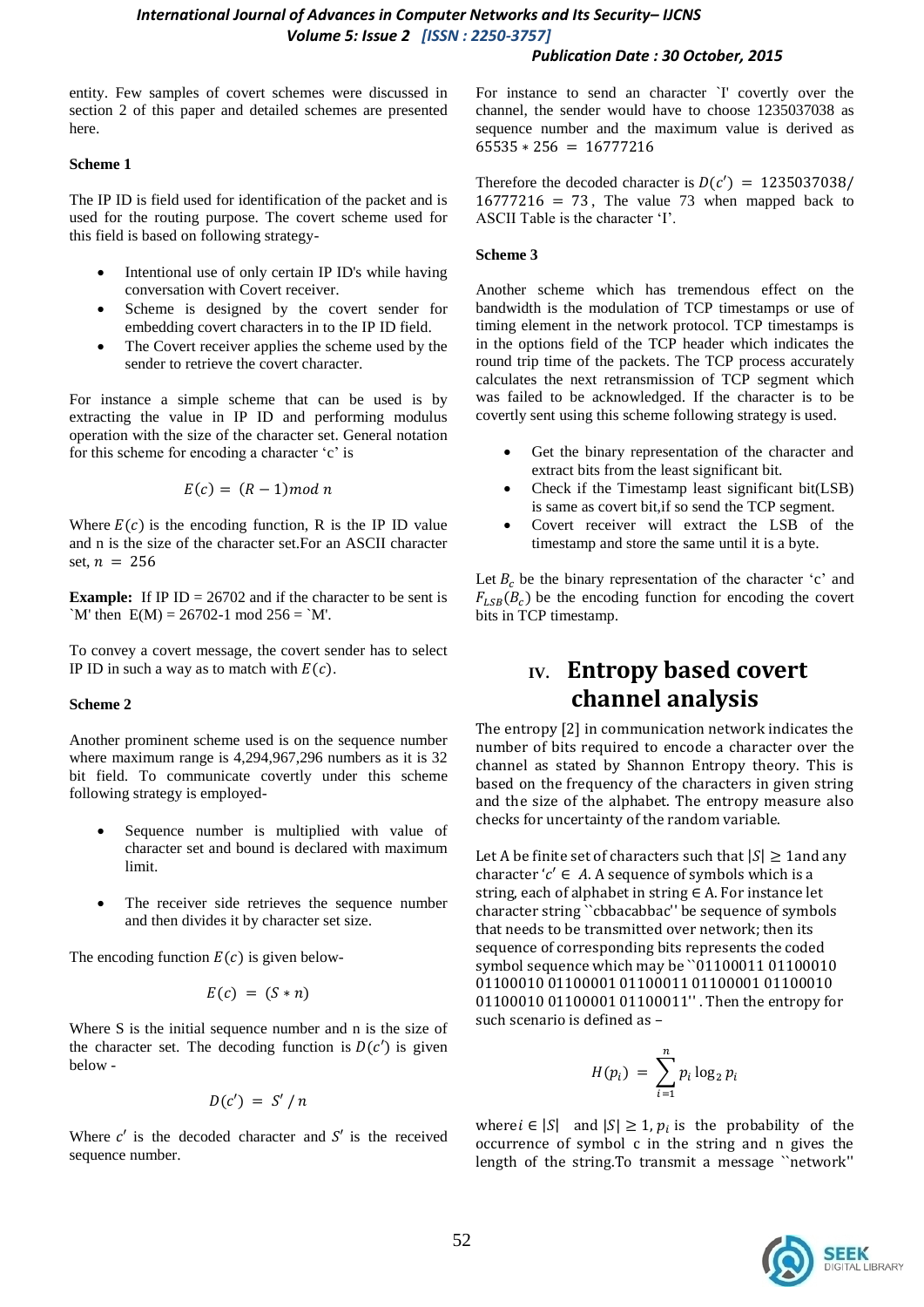entity. Few samples of covert schemes were discussed in section 2 of this paper and detailed schemes are presented here.

### **Scheme 1**

The IP ID is field used for identification of the packet and is used for the routing purpose. The covert scheme used for this field is based on following strategy-

- Intentional use of only certain IP ID's while having conversation with Covert receiver.
- Scheme is designed by the covert sender for embedding covert characters in to the IP ID field.
- The Covert receiver applies the scheme used by the sender to retrieve the covert character.

For instance a simple scheme that can be used is by extracting the value in IP ID and performing modulus operation with the size of the character set. General notation for this scheme for encoding a character 'c' is

$$
E(c) = (R-1) mod n
$$

Where  $E(c)$  is the encoding function, R is the IP ID value and n is the size of the character set.For an ASCII character set,  $n = 256$ 

**Example:** If IP  $ID = 26702$  and if the character to be sent is `M' then  $E(M) = 26702 - 1 \text{ mod } 256 =$ `M'.

To convey a covert message, the covert sender has to select IP ID in such a way as to match with  $E(c)$ .

### **Scheme 2**

Another prominent scheme used is on the sequence number where maximum range is 4,294,967,296 numbers as it is 32 bit field. To communicate covertly under this scheme following strategy is employed-

- Sequence number is multiplied with value of character set and bound is declared with maximum limit.
- The receiver side retrieves the sequence number and then divides it by character set size.

The encoding function  $E(c)$  is given below-

$$
E(c) = (S * n)
$$

Where S is the initial sequence number and n is the size of the character set. The decoding function is  $D(c')$  is given  $helow -$ 

$$
D(c') = S'/n
$$

Where  $c'$  is the decoded character and  $S'$  is the received sequence number.

For instance to send an character `I' covertly over the channel, the sender would have to choose 1235037038 as sequence number and the maximum value is derived as  $65\overline{5}35 * 256 = 16777216$ 

*Publication Date : 30 October, 2015*

Therefore the decoded character is  $D(c') = 1235037038$ /  $16777216 = 73$ , The value 73 when mapped back to ASCII Table is the character "I".

### **Scheme 3**

Another scheme which has tremendous effect on the bandwidth is the modulation of TCP timestamps or use of timing element in the network protocol. TCP timestamps is in the options field of the TCP header which indicates the round trip time of the packets. The TCP process accurately calculates the next retransmission of TCP segment which was failed to be acknowledged. If the character is to be covertly sent using this scheme following strategy is used.

- Get the binary representation of the character and extract bits from the least significant bit.
- Check if the Timestamp least significant bit(LSB) is same as covert bit,if so send the TCP segment.
- Covert receiver will extract the LSB of the timestamp and store the same until it is a byte.

Let  $B_c$  be the binary representation of the character 'c' and  $F_{LSB}(B_c)$  be the encoding function for encoding the covert bits in TCP timestamp.

# **IV. Entropy based covert channel analysis**

The entropy [2] in communication network indicates the number of bits required to encode a character over the channel as stated by Shannon Entropy theory. This is based on the frequency of the characters in given string and the size of the alphabet. The entropy measure also checks for uncertainty of the random variable.

Let A be finite set of characters such that  $|S| \geq 1$  and any character ' $c' \in A$ . A sequence of symbols which is a string, each of alphabet in string  $\in$  A. For instance let character string ``cbbacabbac'' be sequence of symbols that needs to be transmitted over network; then its sequence of corresponding bits represents the coded symbol sequence which may be ``01100011 01100010 01100010 01100001 01100011 01100001 01100010 01100010 01100001 01100011'' . Then the entropy for such scenario is defined as –

$$
H(p_i) = \sum_{i=1}^n p_i \log_2 p_i
$$

where  $i \in |S|$  and  $|S| \geq 1$ ,  $p_i$  is the probability of the occurrence of symbol c in the string and n gives the length of the string.To transmit a message ``network''

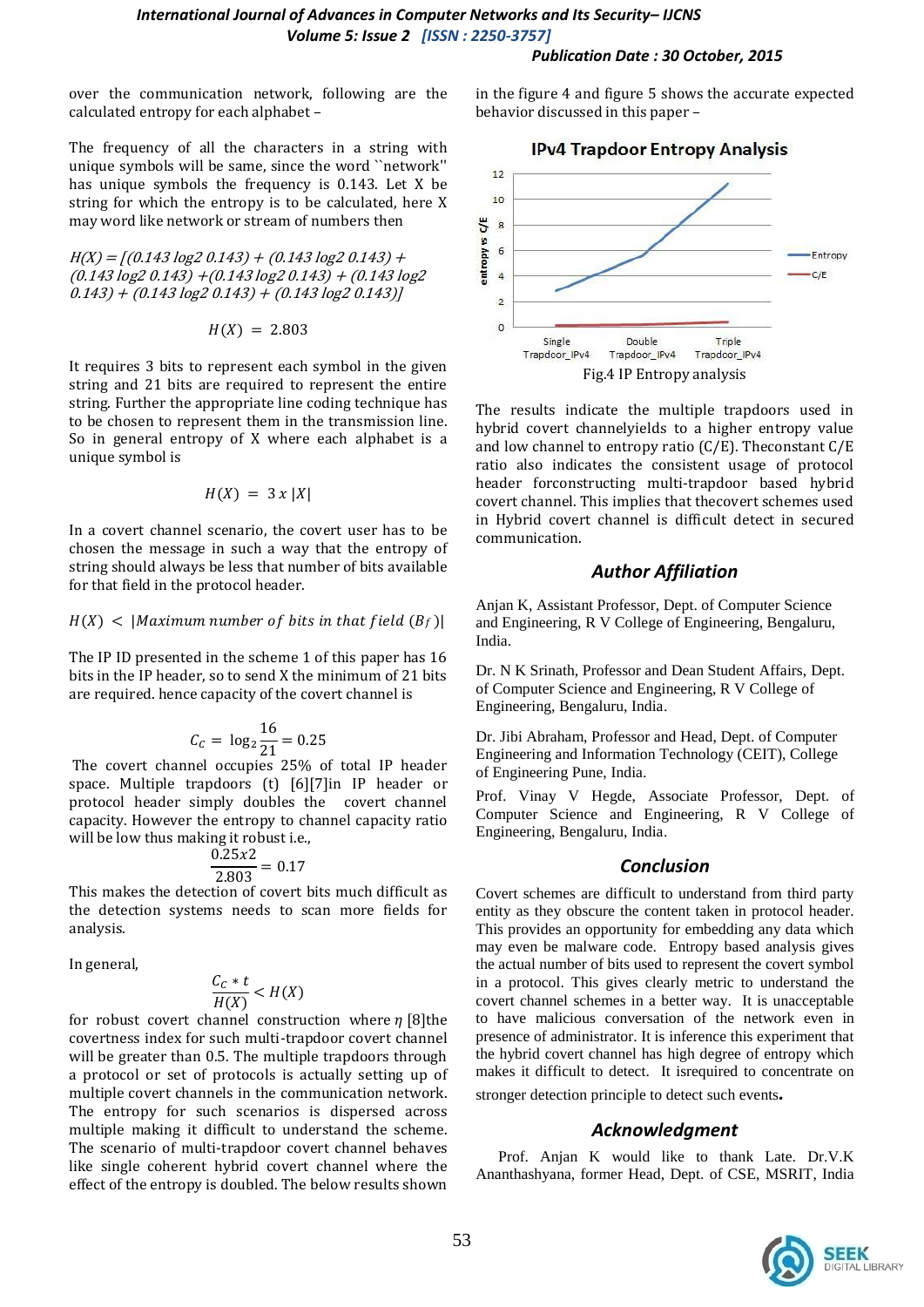#### *Publication Date : 30 October, 2015*

over the communication network, following are the calculated entropy for each alphabet –

The frequency of all the characters in a string with unique symbols will be same, since the word ``network'' has unique symbols the frequency is 0.143. Let X be string for which the entropy is to be calculated, here X may word like network or stream of numbers then

 $H(X) = [(0.143 \log 2 0.143) + (0.143 \log 2 0.143) +$  $(0.143 \log 2 0.143) + (0.143 \log 2 0.143) + (0.143 \log 2)$  $(0.143) + (0.143 \log 2 0.143) + (0.143 \log 2 0.143)$ 

$$
H(X) = 2.803
$$

It requires 3 bits to represent each symbol in the given string and 21 bits are required to represent the entire string. Further the appropriate line coding technique has to be chosen to represent them in the transmission line. So in general entropy of X where each alphabet is a unique symbol is

$$
H(X) = 3 x |X|
$$

In a covert channel scenario, the covert user has to be chosen the message in such a way that the entropy of string should always be less that number of bits available for that field in the protocol header.

### $H(X)$  < |Maximum number of bits in that field  $(B_f)$ |

The IP ID presented in the scheme 1 of this paper has 16 bits in the IP header, so to send X the minimum of 21 bits are required. hence capacity of the covert channel is

$$
C_C = \log_2 \frac{16}{21} = 0.25
$$

The covert channel occupies 25% of total IP header space. Multiple trapdoors (t) [6][7]in IP header or protocol header simply doubles the covert channel capacity. However the entropy to channel capacity ratio will be low thus making it robust i.e.,

$$
\frac{0.25x2}{2.803} = 0.17
$$

This makes the detection of covert bits much difficult as the detection systems needs to scan more fields for analysis.

In general,

$$
\frac{C_c * t}{H(X)} < H(X)
$$

for robust covert channel construction where  $\eta$  [8] the covertness index for such multi-trapdoor covert channel will be greater than 0.5. The multiple trapdoors through a protocol or set of protocols is actually setting up of multiple covert channels in the communication network. The entropy for such scenarios is dispersed across multiple making it difficult to understand the scheme. The scenario of multi-trapdoor covert channel behaves like single coherent hybrid covert channel where the effect of the entropy is doubled. The below results shown in the figure 4 and figure 5 shows the accurate expected behavior discussed in this paper –



The results indicate the multiple trapdoors used in hybrid covert channelyields to a higher entropy value and low channel to entropy ratio (C/E). Theconstant C/E ratio also indicates the consistent usage of protocol header forconstructing multi-trapdoor based hybrid covert channel. This implies that thecovert schemes used in Hybrid covert channel is difficult detect in secured communication.

### *Author Affiliation*

Anjan K, Assistant Professor, Dept. of Computer Science and Engineering, R V College of Engineering, Bengaluru, India.

Dr. N K Srinath, Professor and Dean Student Affairs, Dept. of Computer Science and Engineering, R V College of Engineering, Bengaluru, India.

Dr. Jibi Abraham, Professor and Head, Dept. of Computer Engineering and Information Technology (CEIT), College of Engineering Pune, India.

Prof. Vinay V Hegde, Associate Professor, Dept. of Computer Science and Engineering, R V College of Engineering, Bengaluru, India.

### *Conclusion*

Covert schemes are difficult to understand from third party entity as they obscure the content taken in protocol header. This provides an opportunity for embedding any data which may even be malware code. Entropy based analysis gives the actual number of bits used to represent the covert symbol in a protocol. This gives clearly metric to understand the covert channel schemes in a better way. It is unacceptable to have malicious conversation of the network even in presence of administrator. It is inference this experiment that the hybrid covert channel has high degree of entropy which makes it difficult to detect. It isrequired to concentrate on stronger detection principle to detect such events*.*

### *Acknowledgment*

Prof. Anjan K would like to thank Late. Dr.V.K Ananthashyana, former Head, Dept. of CSE, MSRIT, India